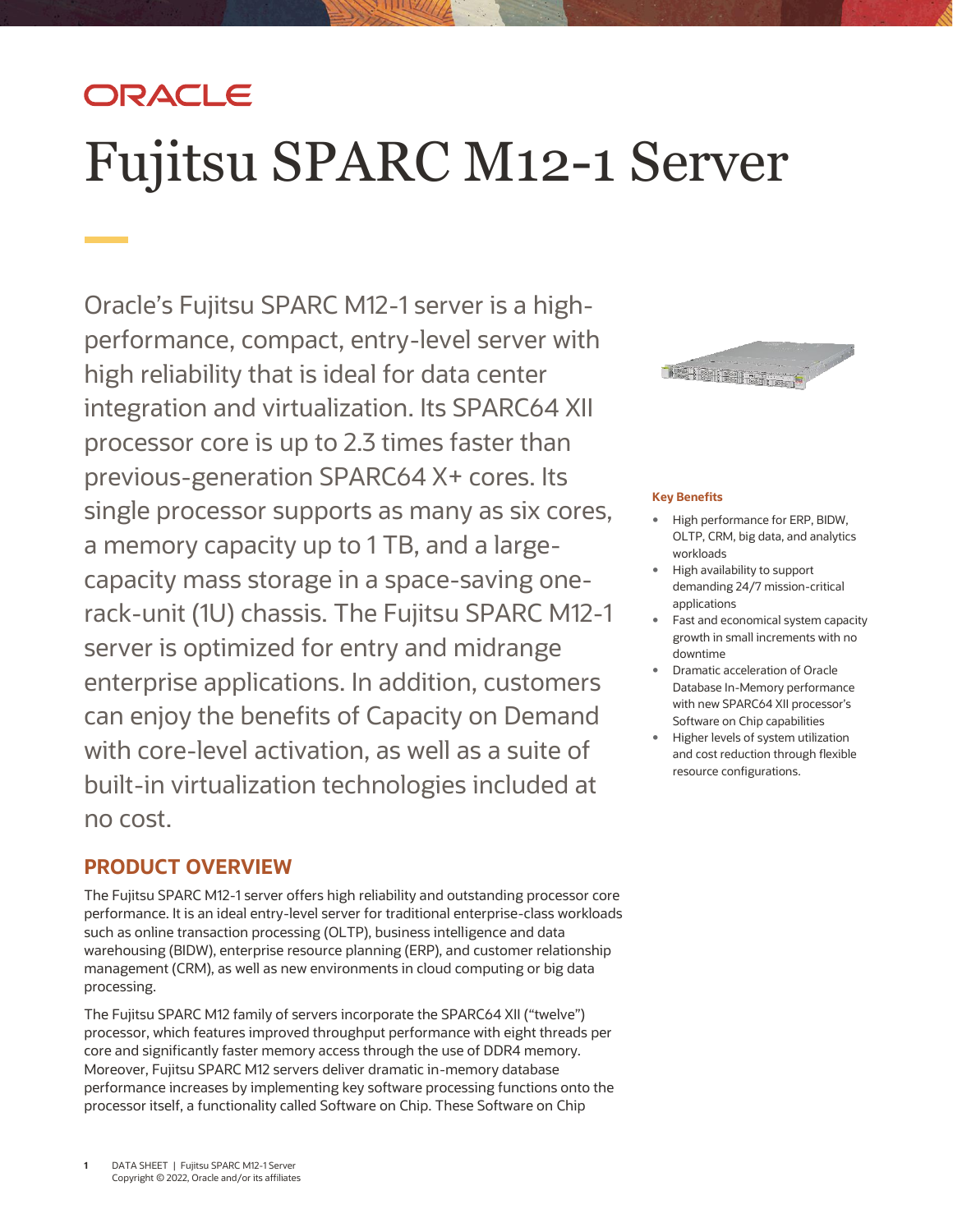## ORACLE

# Fujitsu SPARC M12-1 Server

 performance, compact, entry-level server with high reliability that is ideal for data center processor core is up to 2.3 times faster than a memory capacity up to 1 TB, and a large- server is optimized for entry and midrange Oracle's Fujitsu SPARC M12-1 server is a highintegration and virtualization. Its SPARC64 XII previous-generation SPARC64 X+ cores. Its single processor supports as many as six cores, capacity mass storage in a space-saving onerack-unit (1U) chassis. The Fujitsu SPARC M12-1 enterprise applications. In addition, customers can enjoy the benefits of Capacity on Demand with core-level activation, as well as a suite of built-in virtualization technologies included at no cost.

### **PRODUCT OVERVIEW**

 The Fujitsu SPARC M12-1 server offers high reliability and outstanding processor core performance. It is an ideal entry-level server for traditional enterprise-class workloads such as online transaction processing (OLTP), business intelligence and data warehousing (BIDW), enterprise resource planning (ERP), and customer relationship management (CRM), as well as new environments in cloud computing or big data processing.

 The Fujitsu SPARC M12 family of servers incorporate the SPARC64 XII ("twelve") processor, which features improved throughput performance with eight threads per processor itself, a functionality called Software on Chip. These Software on Chip core and significantly faster memory access through the use of DDR4 memory. Moreover, Fujitsu SPARC M12 servers deliver dramatic in-memory database performance increases by implementing key software processing functions onto the



#### **Key Benefits**

- High performance for ERP, BIDW, OLTP, CRM, big data, and analytics workloads
- High availability to support demanding 24/7 mission-critical applications
- growth in small increments with no Fast and economical system capacity downtime
- Software on Chip capabilities Dramatic acceleration of Oracle Database In-Memory performance with new SPARC64 XII processor's
- Higher levels of system utilization and cost reduction through flexible resource configurations.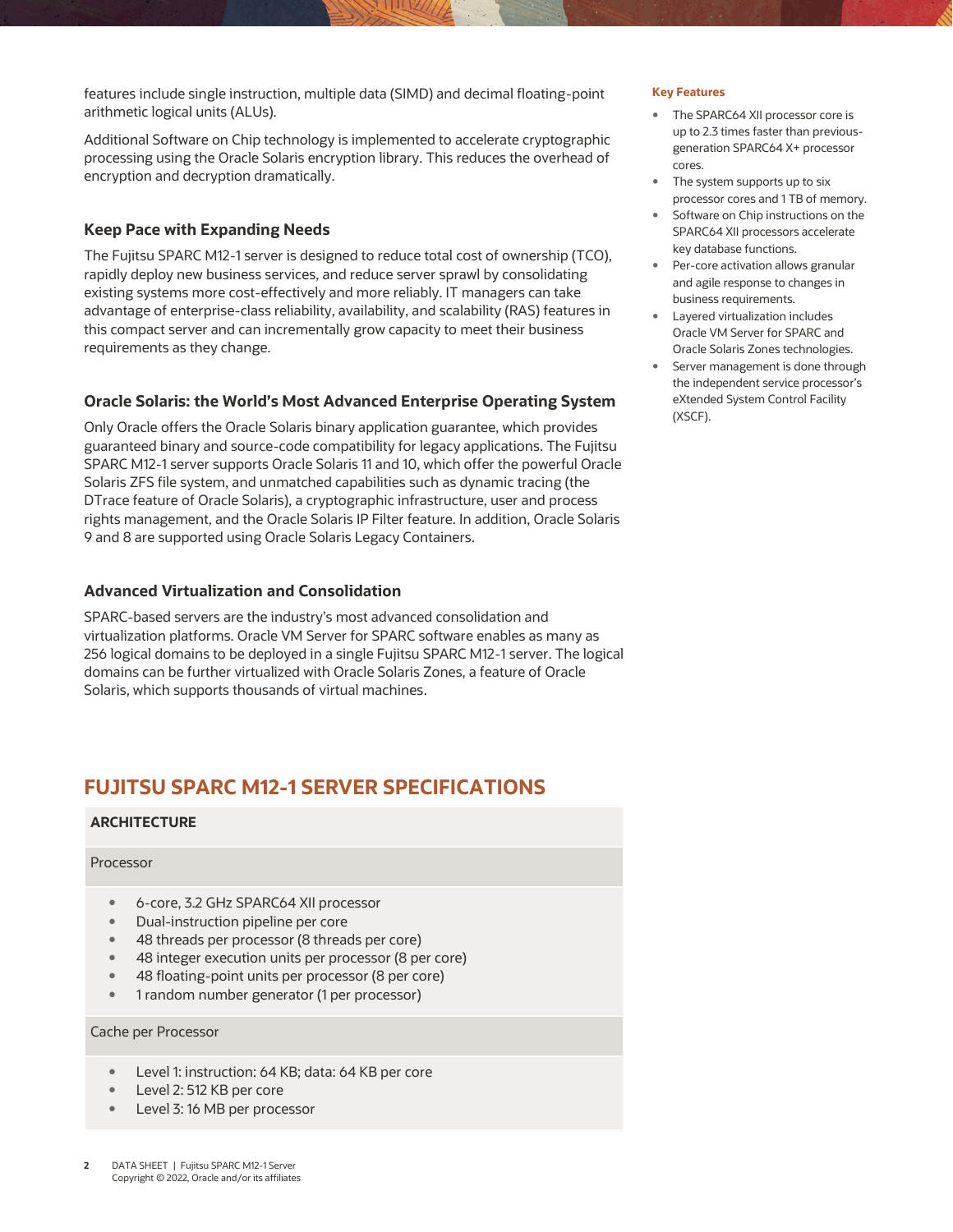features include single instruction, multiple data (SIMD) and decimal floating-point **Key Features** arithmetic logical units (ALUs).

 Additional Software on Chip technology is implemented to accelerate cryptographic processing using the Oracle Solaris encryption library. This reduces the overhead of encryption and decryption dramatically.

#### **Keep Pace with Expanding Needs**

 The Fujitsu SPARC M12-1 server is designed to reduce total cost of ownership (TCO), rapidly deploy new business services, and reduce server sprawl by consolidating existing systems more cost-effectively and more reliably. IT managers can take advantage of enterprise-class reliability, availability, and scalability (RAS) features in this compact server and can incrementally grow capacity to meet their business requirements as they change.

#### **Oracle Solaris: the World's Most Advanced Enterprise Operating System**

 Only Oracle offers the Oracle Solaris binary application guarantee, which provides SPARC M12-1 server supports Oracle Solaris 11 and 10, which offer the powerful Oracle Solaris ZFS file system, and unmatched capabilities such as dynamic tracing (the DTrace feature of Oracle Solaris), a cryptographic infrastructure, user and process rights management, and the Oracle Solaris IP Filter feature. In addition, Oracle Solaris guaranteed binary and source-code compatibility for legacy applications. The Fujitsu 9 and 8 are supported using Oracle Solaris Legacy Containers.

#### **Advanced Virtualization and Consolidation**

 SPARC-based servers are the industry's most advanced consolidation and virtualization platforms. Oracle VM Server for SPARC software enables as many as 256 logical domains to be deployed in a single Fujitsu SPARC M12-1 server. The logical domains can be further virtualized with Oracle Solaris Zones, a feature of Oracle Solaris, which supports thousands of virtual machines.

### **FUJITSU SPARC M12-1 SERVER SPECIFICATIONS**

#### **ARCHITECTURE**

#### Processor

- 6-core, 3.2 GHz SPARC64 XII processor
- Dual-instruction pipeline per core
- 48 threads per processor (8 threads per core)
- 48 integer execution units per processor (8 per core)
- 48 floating-point units per processor (8 per core)
- 1 random number generator (1 per processor)

#### Cache per Processor

- **Level 1: instruction: 64 KB; data: 64 KB per core**
- Level 2: 512 KB per core
- **Level 3: 16 MB per processor**

- The SPARC64 XII processor core is up to 2.3 times faster than previousgeneration SPARC64 X+ processor cores.
- The system supports up to six processor cores and 1 TB of memory.
- Software on Chip instructions on the SPARC64 XII processors accelerate key database functions.
- Per-core activation allows granular and agile response to changes in business requirements.
- Layered virtualization includes Oracle VM Server for SPARC and Oracle Solaris Zones technologies.
- **Server management is done through**  the independent service processor's eXtended System Control Facility (XSCF).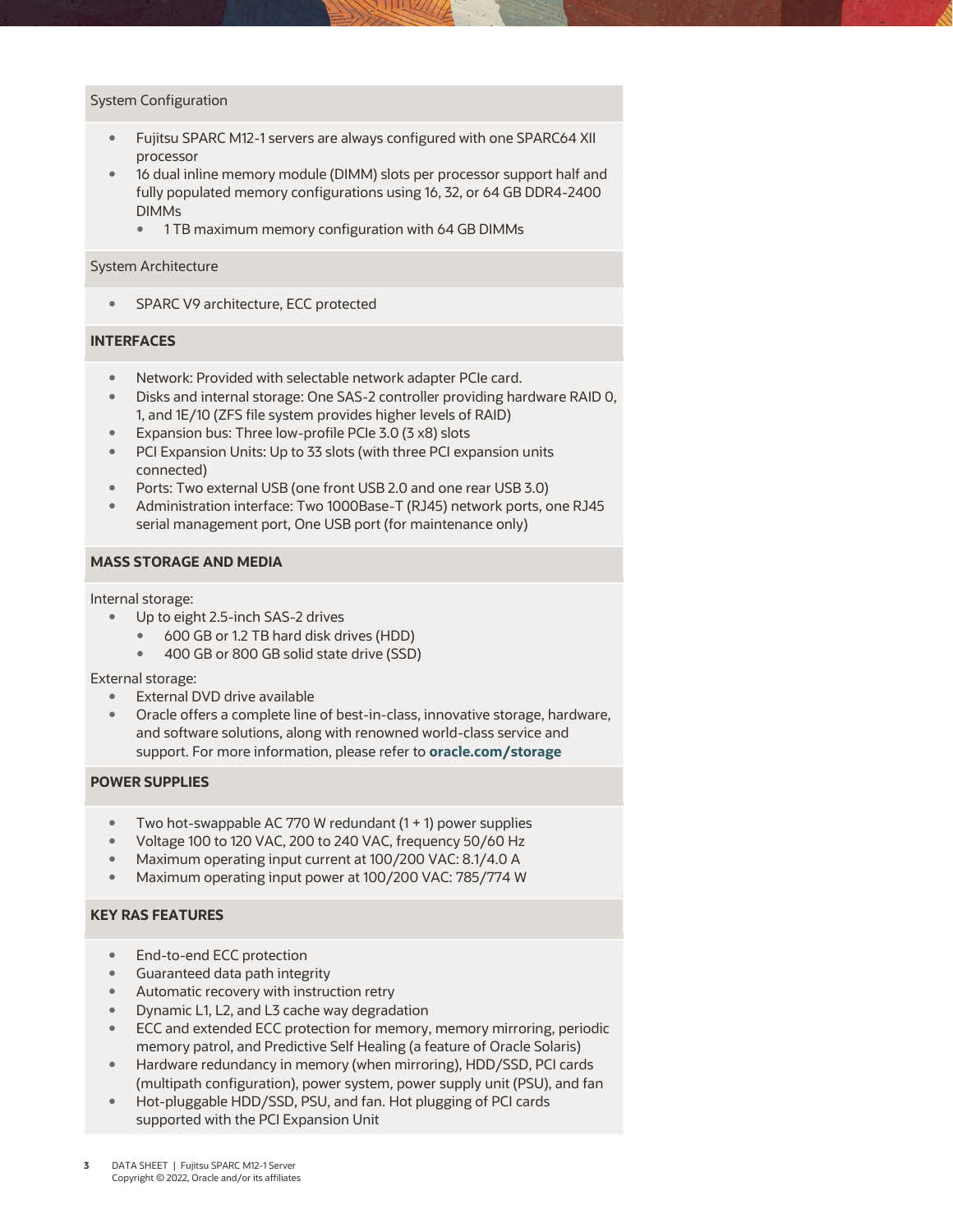#### System Configuration

- Fujitsu SPARC M12-1 servers are always configured with one SPARC64 XII processor
- 16 dual inline memory module (DIMM) slots per processor support half and fully populated memory configurations using 16, 32, or 64 GB DDR4-2400 DIMMs
	- **1 TB maximum memory configuration with 64 GB DIMMs**

#### System Architecture

**SPARC V9 architecture, ECC protected** 

#### **INTERFACES**

- Network: Provided with selectable network adapter PCIe card.
- Disks and internal storage: One SAS-2 controller providing hardware RAID 0, 1, and 1E/10 (ZFS file system provides higher levels of RAID)
- Expansion bus: Three low-profile PCIe 3.0 (3 x8) slots
- PCI Expansion Units: Up to 33 slots (with three PCI expansion units connected)
- Ports: Two external USB (one front USB 2.0 and one rear USB 3.0)
- Administration interface: Two 1000Base-T (RJ45) network ports, one RJ45 serial management port, One USB port (for maintenance only)

#### **MASS STORAGE AND MEDIA**

Internal storage:

- Up to eight 2.5-inch SAS-2 drives
	- 600 GB or 1.2 TB hard disk drives (HDD)
	- 400 GB or 800 GB solid state drive (SSD)

External storage:

- External DVD drive available
- Oracle offers a complete line of best-in-class, innovative storage, hardware, and software solutions, along with renowned world-class service and support. For more information, please refer to **[oracle.com/storage](http://www.oracle.com/storage)**

#### **POWER SUPPLIES**

- Two hot-swappable AC 770 W redundant (1 + 1) power supplies
- Voltage 100 to 120 VAC, 200 to 240 VAC, frequency 50/60 Hz
- Maximum operating input current at 100/200 VAC: 8.1/4.0 A
- Maximum operating input power at 100/200 VAC: 785/774 W

#### **KEY RAS FEATURES**

- End-to-end ECC protection
- Guaranteed data path integrity
- Automatic recovery with instruction retry
- **Dynamic L1, L2, and L3 cache way degradation**
- ECC and extended ECC protection for memory, memory mirroring, periodic memory patrol, and Predictive Self Healing (a feature of Oracle Solaris)
- Hardware redundancy in memory (when mirroring), HDD/SSD, PCI cards (multipath configuration), power system, power supply unit (PSU), and fan
- Hot-pluggable HDD/SSD, PSU, and fan. Hot plugging of PCI cards supported with the PCI Expansion Unit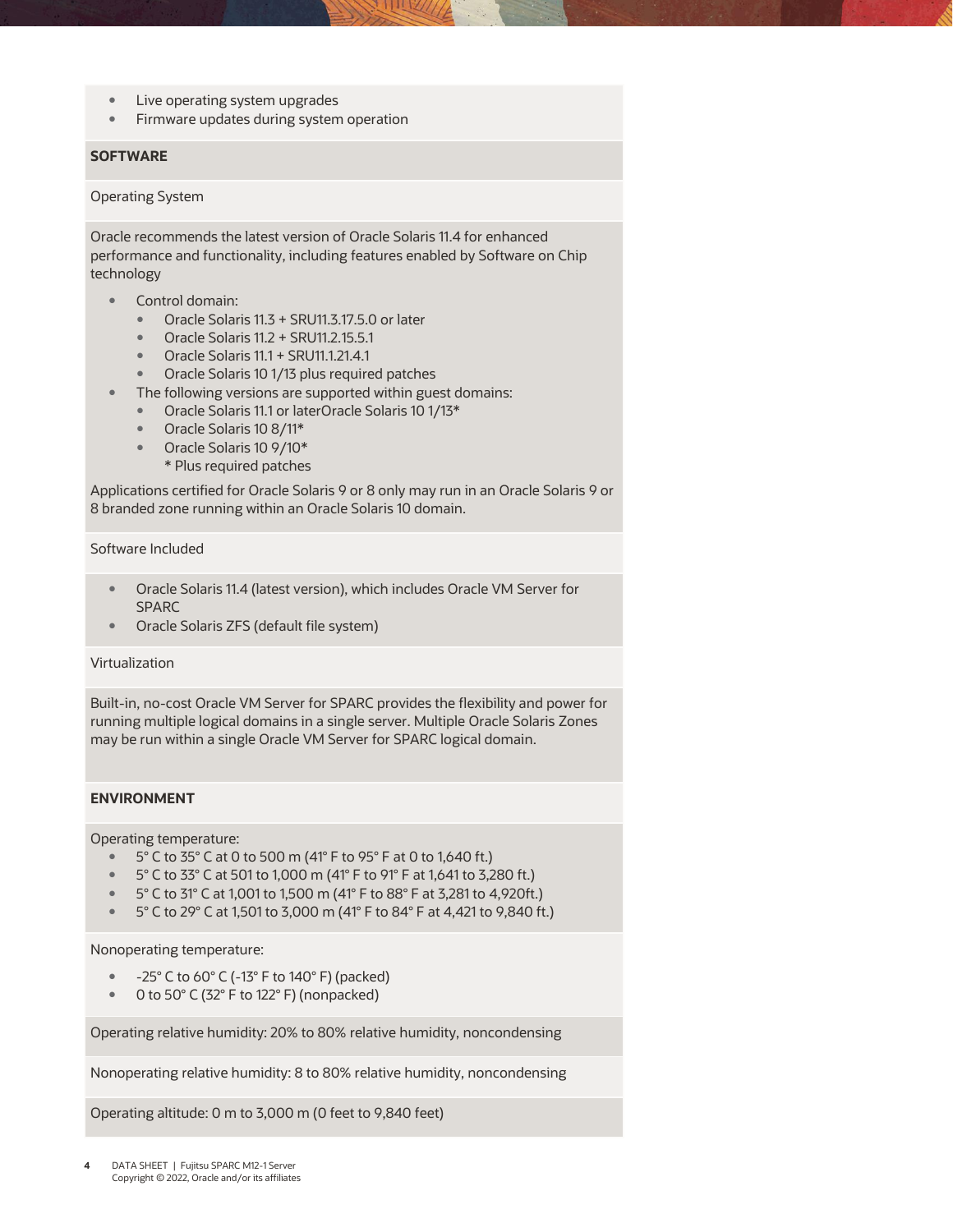- Live operating system upgrades
- **Firmware updates during system operation**

#### **SOFTWARE**

#### Operating System

 Oracle recommends the latest version of Oracle Solaris 11.4 for enhanced performance and functionality, including features enabled by Software on Chip technology

- Control domain:
	- Oracle Solaris 11.3 + SRU11.3.17.5.0 or later
	- Oracle Solaris 11.2 + SRU11.2.15.5.1
	- Oracle Solaris 11.1 + SRU11.1.21.4.1
	- **Oracle Solaris 10 1/13 plus required patches**
- The following versions are supported within guest domains:
	- Oracle Solaris 11.1 or laterOracle Solaris 10 1/13\*
	- Oracle Solaris 10 8/11\*
	- Oracle Solaris 10 9/10\*
		- \* Plus required patches

 Applications certified for Oracle Solaris 9 or 8 only may run in an Oracle Solaris 9 or 8 branded zone running within an Oracle Solaris 10 domain.

#### Software Included

- Oracle Solaris 11.4 (latest version), which includes Oracle VM Server for SPARC
- Oracle Solaris ZFS (default file system)

#### Virtualization

 Built-in, no-cost Oracle VM Server for SPARC provides the flexibility and power for may be run within a single Oracle VM Server for SPARC logical domain. running multiple logical domains in a single server. Multiple Oracle Solaris Zones

#### **ENVIRONMENT**

Operating temperature:

- $\bullet$  5° C to 35° C at 0 to 500 m (41° F to 95° F at 0 to 1,640 ft.)
- $\degree$  5° C to 33° C at 501 to 1,000 m (41° F to 91° F at 1,641 to 3,280 ft.)
- $\degree$  5° C to 31° C at 1,001 to 1,500 m (41° F to 88° F at 3,281 to 4,920ft.)
- $\degree$  5° C to 29° C at 1,501 to 3,000 m (41° F to 84° F at 4,421 to 9,840 ft.)

#### Nonoperating temperature:

- $-25^{\circ}$  C to 60 $^{\circ}$  C (-13 $^{\circ}$  F to 140 $^{\circ}$  F) (packed)
- 0 to 50° C (32° F to 122° F) (nonpacked)

Operating relative humidity: 20% to 80% relative humidity, noncondensing

Nonoperating relative humidity: 8 to 80% relative humidity, noncondensing

Operating altitude: 0 m to 3,000 m (0 feet to 9,840 feet)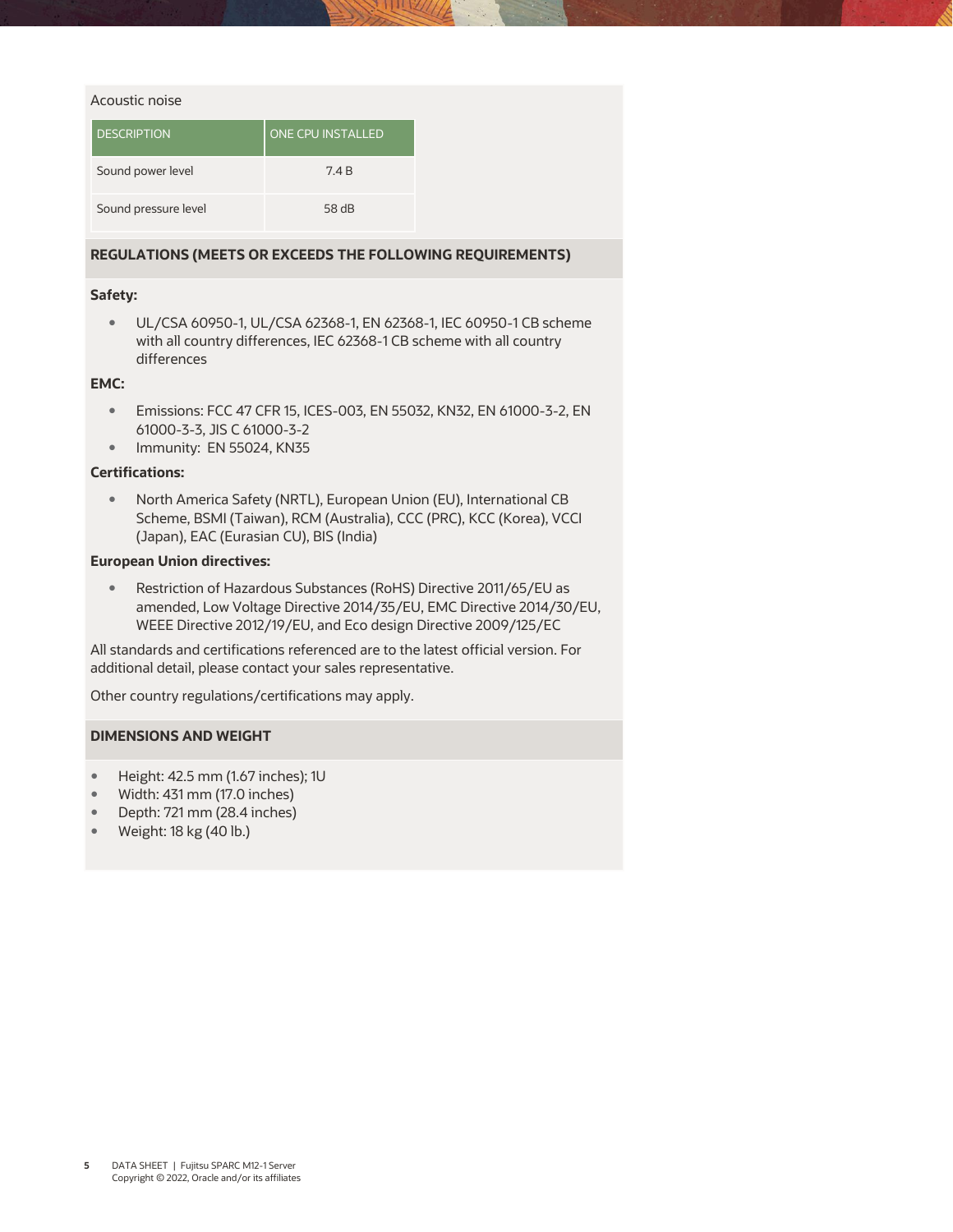#### Acoustic noise

| <b>DESCRIPTION</b>   | <b>ONE CPU INSTALLED</b> |
|----------------------|--------------------------|
| Sound power level    | 7.4 B                    |
| Sound pressure level | 58 <sub>dB</sub>         |

#### **REGULATIONS (MEETS OR EXCEEDS THE FOLLOWING REQUIREMENTS)**

#### **Safety:**

 UL/CSA 60950-1, UL/CSA 62368-1, EN 62368-1, IEC 60950-1 CB scheme with all country differences, IEC 62368-1 CB scheme with all country differences

#### **EMC:**

- Emissions: FCC 47 CFR 15, ICES-003, EN 55032, KN32, EN 61000-3-2, EN 61000-3-3, JIS C 61000-3-2
- **Immunity: EN 55024, KN35**

#### **Certifications:**

 North America Safety (NRTL), European Union (EU), International CB Scheme, BSMI (Taiwan), RCM (Australia), CCC (PRC), KCC (Korea), VCCI (Japan), EAC (Eurasian CU), BIS (India)

#### **European Union directives:**

 amended, Low Voltage Directive 2014/35/EU, EMC Directive 2014/30/EU, WEEE Directive 2012/19/EU, and Eco design Directive 2009/125/EC Restriction of Hazardous Substances (RoHS) Directive 2011/65/EU as

 All standards and certifications referenced are to the latest official version. For additional detail, please contact your sales representative.

Other country regulations/certifications may apply.

#### **DIMENSIONS AND WEIGHT**

- Height: 42.5 mm (1.67 inches); 1U
- Width: 431 mm (17.0 inches)
- Depth: 721 mm (28.4 inches)
- Weight: 18 kg (40 lb.)